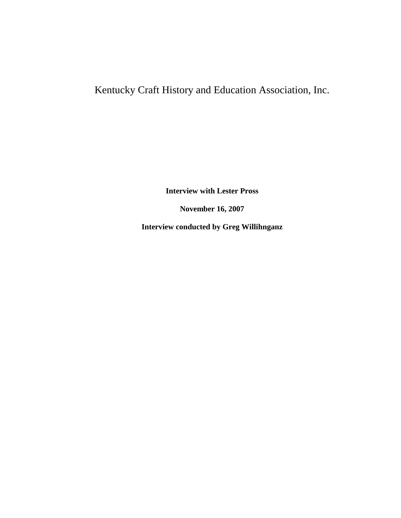## Kentucky Craft History and Education Association, Inc.

**Interview with Lester Pross**

**November 16, 2007**

**Interview conducted by Greg Willihnganz**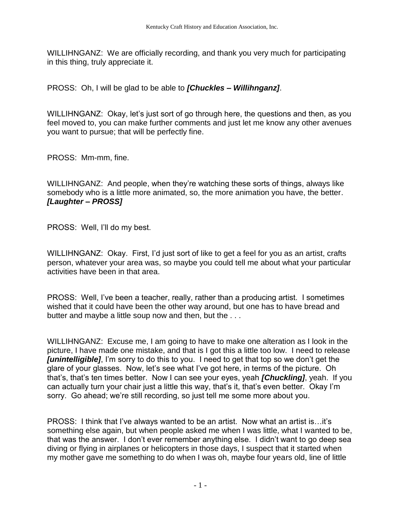WILLIHNGANZ: We are officially recording, and thank you very much for participating in this thing, truly appreciate it.

PROSS: Oh, I will be glad to be able to *[Chuckles – Willihnganz]*.

WILLIHNGANZ: Okay, let's just sort of go through here, the questions and then, as you feel moved to, you can make further comments and just let me know any other avenues you want to pursue; that will be perfectly fine.

PROSS: Mm-mm, fine.

WILLIHNGANZ: And people, when they're watching these sorts of things, always like somebody who is a little more animated, so, the more animation you have, the better. *[Laughter – PROSS]*

PROSS: Well, I'll do my best.

WILLIHNGANZ: Okay. First, I'd just sort of like to get a feel for you as an artist, crafts person, whatever your area was, so maybe you could tell me about what your particular activities have been in that area.

PROSS: Well, I've been a teacher, really, rather than a producing artist. I sometimes wished that it could have been the other way around, but one has to have bread and butter and maybe a little soup now and then, but the ...

WILLIHNGANZ: Excuse me, I am going to have to make one alteration as I look in the picture, I have made one mistake, and that is I got this a little too low. I need to release *[unintelligible]*, I'm sorry to do this to you. I need to get that top so we don't get the glare of your glasses. Now, let's see what I've got here, in terms of the picture. Oh that's, that's ten times better. Now I can see your eyes, yeah *[Chuckling]*, yeah. If you can actually turn your chair just a little this way, that's it, that's even better. Okay I'm sorry. Go ahead; we're still recording, so just tell me some more about you.

PROSS: I think that I've always wanted to be an artist. Now what an artist is…it's something else again, but when people asked me when I was little, what I wanted to be, that was the answer. I don't ever remember anything else. I didn't want to go deep sea diving or flying in airplanes or helicopters in those days, I suspect that it started when my mother gave me something to do when I was oh, maybe four years old, line of little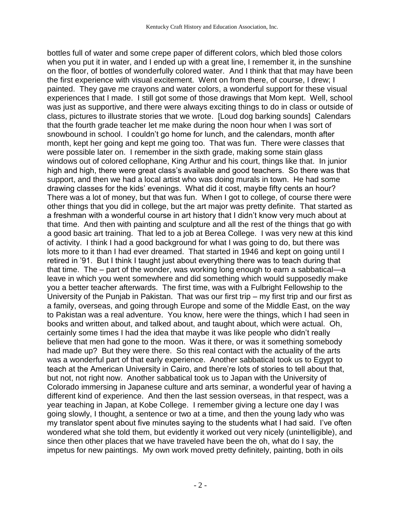bottles full of water and some crepe paper of different colors, which bled those colors when you put it in water, and I ended up with a great line, I remember it, in the sunshine on the floor, of bottles of wonderfully colored water. And I think that that may have been the first experience with visual excitement. Went on from there, of course, I drew; I painted. They gave me crayons and water colors, a wonderful support for these visual experiences that I made. I still got some of those drawings that Mom kept. Well, school was just as supportive, and there were always exciting things to do in class or outside of class, pictures to illustrate stories that we wrote. [Loud dog barking sounds] Calendars that the fourth grade teacher let me make during the noon hour when I was sort of snowbound in school. I couldn't go home for lunch, and the calendars, month after month, kept her going and kept me going too. That was fun. There were classes that were possible later on. I remember in the sixth grade, making some stain glass windows out of colored cellophane, King Arthur and his court, things like that. In junior high and high, there were great class's available and good teachers. So there was that support, and then we had a local artist who was doing murals in town. He had some drawing classes for the kids' evenings. What did it cost, maybe fifty cents an hour? There was a lot of money, but that was fun. When I got to college, of course there were other things that you did in college, but the art major was pretty definite. That started as a freshman with a wonderful course in art history that I didn't know very much about at that time. And then with painting and sculpture and all the rest of the things that go with a good basic art training. That led to a job at Berea College. I was very new at this kind of activity. I think I had a good background for what I was going to do, but there was lots more to it than I had ever dreamed. That started in 1946 and kept on going until I retired in '91. But I think I taught just about everything there was to teach during that that time. The – part of the wonder, was working long enough to earn a sabbatical—a leave in which you went somewhere and did something which would supposedly make you a better teacher afterwards. The first time, was with a Fulbright Fellowship to the University of the Punjab in Pakistan. That was our first trip – my first trip and our first as a family, overseas, and going through Europe and some of the Middle East, on the way to Pakistan was a real adventure. You know, here were the things, which I had seen in books and written about, and talked about, and taught about, which were actual. Oh, certainly some times I had the idea that maybe it was like people who didn't really believe that men had gone to the moon. Was it there, or was it something somebody had made up? But they were there. So this real contact with the actuality of the arts was a wonderful part of that early experience. Another sabbatical took us to Egypt to teach at the American University in Cairo, and there're lots of stories to tell about that, but not, not right now. Another sabbatical took us to Japan with the University of Colorado immersing in Japanese culture and arts seminar, a wonderful year of having a different kind of experience. And then the last session overseas, in that respect, was a year teaching in Japan, at Kobe College. I remember giving a lecture one day I was going slowly, I thought, a sentence or two at a time, and then the young lady who was my translator spent about five minutes saying to the students what I had said. I've often wondered what she told them, but evidently it worked out very nicely (unintelligible), and since then other places that we have traveled have been the oh, what do I say, the impetus for new paintings. My own work moved pretty definitely, painting, both in oils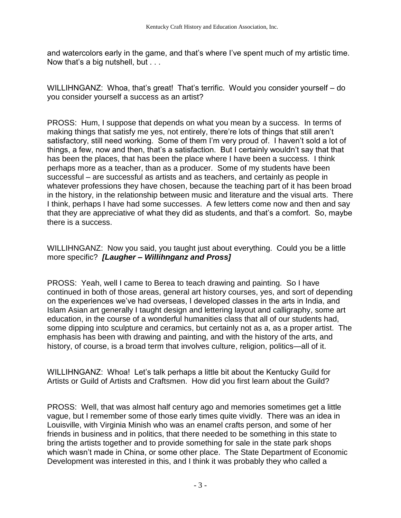and watercolors early in the game, and that's where I've spent much of my artistic time. Now that's a big nutshell, but . . .

WILLIHNGANZ: Whoa, that's great! That's terrific. Would you consider yourself – do you consider yourself a success as an artist?

PROSS: Hum, I suppose that depends on what you mean by a success. In terms of making things that satisfy me yes, not entirely, there're lots of things that still aren't satisfactory, still need working. Some of them I'm very proud of. I haven't sold a lot of things, a few, now and then, that's a satisfaction. But I certainly wouldn't say that that has been the places, that has been the place where I have been a success. I think perhaps more as a teacher, than as a producer. Some of my students have been successful – are successful as artists and as teachers, and certainly as people in whatever professions they have chosen, because the teaching part of it has been broad in the history, in the relationship between music and literature and the visual arts. There I think, perhaps I have had some successes. A few letters come now and then and say that they are appreciative of what they did as students, and that's a comfort. So, maybe there is a success.

WILLIHNGANZ: Now you said, you taught just about everything. Could you be a little more specific? *[Laugher – Willihnganz and Pross]*

PROSS: Yeah, well I came to Berea to teach drawing and painting. So I have continued in both of those areas, general art history courses, yes, and sort of depending on the experiences we've had overseas, I developed classes in the arts in India, and Islam Asian art generally I taught design and lettering layout and calligraphy, some art education, in the course of a wonderful humanities class that all of our students had, some dipping into sculpture and ceramics, but certainly not as a, as a proper artist. The emphasis has been with drawing and painting, and with the history of the arts, and history, of course, is a broad term that involves culture, religion, politics—all of it.

WILLIHNGANZ: Whoa! Let's talk perhaps a little bit about the Kentucky Guild for Artists or Guild of Artists and Craftsmen. How did you first learn about the Guild?

PROSS: Well, that was almost half century ago and memories sometimes get a little vague, but I remember some of those early times quite vividly. There was an idea in Louisville, with Virginia Minish who was an enamel crafts person, and some of her friends in business and in politics, that there needed to be something in this state to bring the artists together and to provide something for sale in the state park shops which wasn't made in China, or some other place. The State Department of Economic Development was interested in this, and I think it was probably they who called a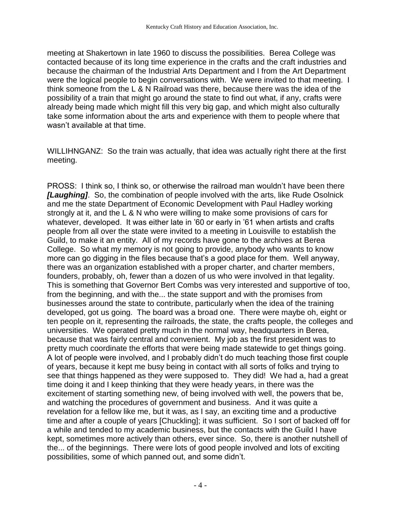meeting at Shakertown in late 1960 to discuss the possibilities. Berea College was contacted because of its long time experience in the crafts and the craft industries and because the chairman of the Industrial Arts Department and I from the Art Department were the logical people to begin conversations with. We were invited to that meeting. I think someone from the L & N Railroad was there, because there was the idea of the possibility of a train that might go around the state to find out what, if any, crafts were already being made which might fill this very big gap, and which might also culturally take some information about the arts and experience with them to people where that wasn't available at that time.

WILLIHNGANZ: So the train was actually, that idea was actually right there at the first meeting.

PROSS: I think so, I think so, or otherwise the railroad man wouldn't have been there *[Laughing]*. So, the combination of people involved with the arts, like Rude Osolnick and me the state Department of Economic Development with Paul Hadley working strongly at it, and the L & N who were willing to make some provisions of cars for whatever, developed. It was either late in '60 or early in '61 when artists and crafts people from all over the state were invited to a meeting in Louisville to establish the Guild, to make it an entity. All of my records have gone to the archives at Berea College. So what my memory is not going to provide, anybody who wants to know more can go digging in the files because that's a good place for them. Well anyway, there was an organization established with a proper charter, and charter members, founders, probably, oh, fewer than a dozen of us who were involved in that legality. This is something that Governor Bert Combs was very interested and supportive of too, from the beginning, and with the... the state support and with the promises from businesses around the state to contribute, particularly when the idea of the training developed, got us going. The board was a broad one. There were maybe oh, eight or ten people on it, representing the railroads, the state, the crafts people, the colleges and universities. We operated pretty much in the normal way, headquarters in Berea, because that was fairly central and convenient. My job as the first president was to pretty much coordinate the efforts that were being made statewide to get things going. A lot of people were involved, and I probably didn't do much teaching those first couple of years, because it kept me busy being in contact with all sorts of folks and trying to see that things happened as they were supposed to. They did! We had a, had a great time doing it and I keep thinking that they were heady years, in there was the excitement of starting something new, of being involved with well, the powers that be, and watching the procedures of government and business. And it was quite a revelation for a fellow like me, but it was, as I say, an exciting time and a productive time and after a couple of years [Chuckling]; it was sufficient. So I sort of backed off for a while and tended to my academic business, but the contacts with the Guild I have kept, sometimes more actively than others, ever since. So, there is another nutshell of the... of the beginnings. There were lots of good people involved and lots of exciting possibilities, some of which panned out, and some didn't.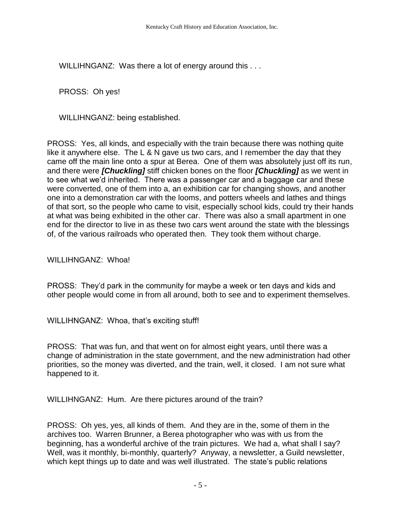WILLIHNGANZ: Was there a lot of energy around this . . .

PROSS: Oh yes!

WILLIHNGANZ: being established.

PROSS: Yes, all kinds, and especially with the train because there was nothing quite like it anywhere else. The L & N gave us two cars, and I remember the day that they came off the main line onto a spur at Berea. One of them was absolutely just off its run, and there were *[Chuckling]* stiff chicken bones on the floor *[Chuckling]* as we went in to see what we'd inherited. There was a passenger car and a baggage car and these were converted, one of them into a, an exhibition car for changing shows, and another one into a demonstration car with the looms, and potters wheels and lathes and things of that sort, so the people who came to visit, especially school kids, could try their hands at what was being exhibited in the other car. There was also a small apartment in one end for the director to live in as these two cars went around the state with the blessings of, of the various railroads who operated then. They took them without charge.

WILLIHNGANZ: Whoa!

PROSS: They'd park in the community for maybe a week or ten days and kids and other people would come in from all around, both to see and to experiment themselves.

WILLIHNGANZ: Whoa, that's exciting stuff!

PROSS: That was fun, and that went on for almost eight years, until there was a change of administration in the state government, and the new administration had other priorities, so the money was diverted, and the train, well, it closed. I am not sure what happened to it.

WILLIHNGANZ: Hum. Are there pictures around of the train?

PROSS: Oh yes, yes, all kinds of them. And they are in the, some of them in the archives too. Warren Brunner, a Berea photographer who was with us from the beginning, has a wonderful archive of the train pictures. We had a, what shall I say? Well, was it monthly, bi-monthly, quarterly? Anyway, a newsletter, a Guild newsletter, which kept things up to date and was well illustrated. The state's public relations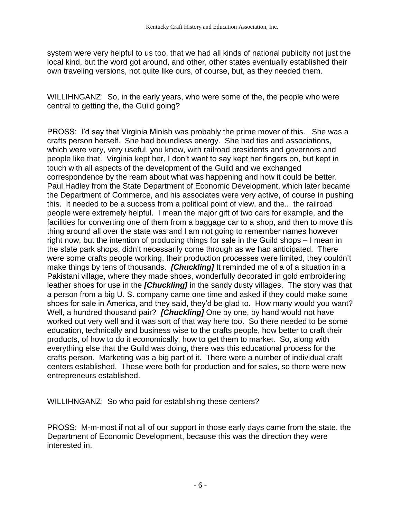system were very helpful to us too, that we had all kinds of national publicity not just the local kind, but the word got around, and other, other states eventually established their own traveling versions, not quite like ours, of course, but, as they needed them.

WILLIHNGANZ: So, in the early years, who were some of the, the people who were central to getting the, the Guild going?

PROSS: I'd say that Virginia Minish was probably the prime mover of this. She was a crafts person herself. She had boundless energy. She had ties and associations, which were very, very useful, you know, with railroad presidents and governors and people like that. Virginia kept her, I don't want to say kept her fingers on, but kept in touch with all aspects of the development of the Guild and we exchanged correspondence by the ream about what was happening and how it could be better. Paul Hadley from the State Department of Economic Development, which later became the Department of Commerce, and his associates were very active, of course in pushing this. It needed to be a success from a political point of view, and the... the railroad people were extremely helpful. I mean the major gift of two cars for example, and the facilities for converting one of them from a baggage car to a shop, and then to move this thing around all over the state was and I am not going to remember names however right now, but the intention of producing things for sale in the Guild shops – I mean in the state park shops, didn't necessarily come through as we had anticipated. There were some crafts people working, their production processes were limited, they couldn't make things by tens of thousands. *[Chuckling]* It reminded me of a of a situation in a Pakistani village, where they made shoes, wonderfully decorated in gold embroidering leather shoes for use in the *[Chuckling]* in the sandy dusty villages. The story was that a person from a big U. S. company came one time and asked if they could make some shoes for sale in America, and they said, they'd be glad to. How many would you want? Well, a hundred thousand pair? *[Chuckling]* One by one, by hand would not have worked out very well and it was sort of that way here too. So there needed to be some education, technically and business wise to the crafts people, how better to craft their products, of how to do it economically, how to get them to market. So, along with everything else that the Guild was doing, there was this educational process for the crafts person. Marketing was a big part of it. There were a number of individual craft centers established. These were both for production and for sales, so there were new entrepreneurs established.

WILLIHNGANZ: So who paid for establishing these centers?

PROSS: M-m-most if not all of our support in those early days came from the state, the Department of Economic Development, because this was the direction they were interested in.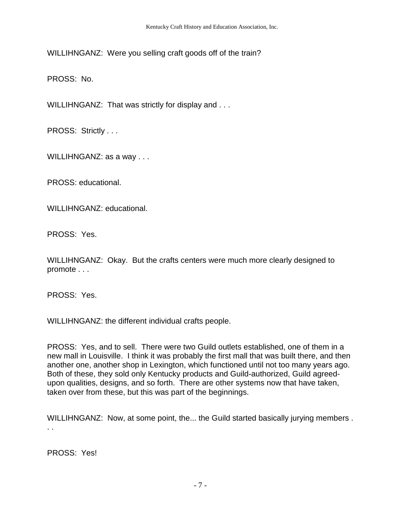WILLIHNGANZ: Were you selling craft goods off of the train?

PROSS: No.

WILLIHNGANZ: That was strictly for display and . . .

PROSS: Strictly . . .

WILLIHNGANZ: as a way . . .

PROSS: educational.

WILLIHNGANZ: educational.

PROSS: Yes.

WILLIHNGANZ: Okay. But the crafts centers were much more clearly designed to promote . . .

PROSS: Yes.

WILLIHNGANZ: the different individual crafts people.

PROSS: Yes, and to sell. There were two Guild outlets established, one of them in a new mall in Louisville. I think it was probably the first mall that was built there, and then another one, another shop in Lexington, which functioned until not too many years ago. Both of these, they sold only Kentucky products and Guild-authorized, Guild agreedupon qualities, designs, and so forth. There are other systems now that have taken, taken over from these, but this was part of the beginnings.

WILLIHNGANZ: Now, at some point, the... the Guild started basically jurying members. . .

PROSS: Yes!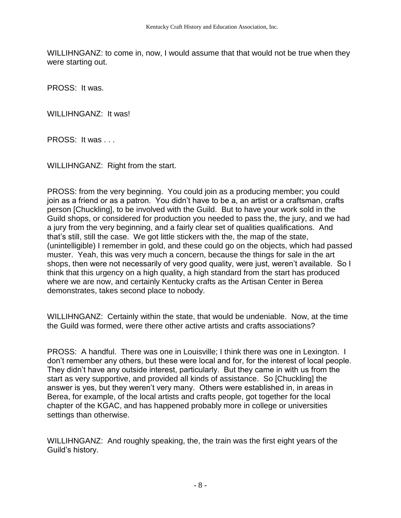WILLIHNGANZ: to come in, now, I would assume that that would not be true when they were starting out.

PROSS: It was.

WILLIHNGANZ: It was!

PROSS: It was . . .

WILLIHNGANZ: Right from the start.

PROSS: from the very beginning. You could join as a producing member; you could join as a friend or as a patron. You didn't have to be a, an artist or a craftsman, crafts person [Chuckling], to be involved with the Guild. But to have your work sold in the Guild shops, or considered for production you needed to pass the, the jury, and we had a jury from the very beginning, and a fairly clear set of qualities qualifications. And that's still, still the case. We got little stickers with the, the map of the state, (unintelligible) I remember in gold, and these could go on the objects, which had passed muster. Yeah, this was very much a concern, because the things for sale in the art shops, then were not necessarily of very good quality, were just, weren't available. So I think that this urgency on a high quality, a high standard from the start has produced where we are now, and certainly Kentucky crafts as the Artisan Center in Berea demonstrates, takes second place to nobody.

WILLIHNGANZ: Certainly within the state, that would be undeniable. Now, at the time the Guild was formed, were there other active artists and crafts associations?

PROSS: A handful. There was one in Louisville; I think there was one in Lexington. I don't remember any others, but these were local and for, for the interest of local people. They didn't have any outside interest, particularly. But they came in with us from the start as very supportive, and provided all kinds of assistance. So [Chuckling] the answer is yes, but they weren't very many. Others were established in, in areas in Berea, for example, of the local artists and crafts people, got together for the local chapter of the KGAC, and has happened probably more in college or universities settings than otherwise.

WILLIHNGANZ: And roughly speaking, the, the train was the first eight years of the Guild's history.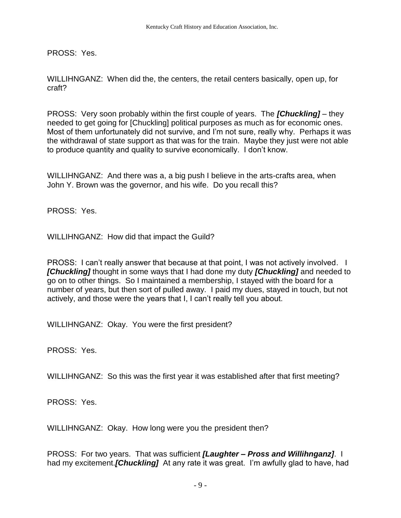PROSS: Yes.

WILLIHNGANZ: When did the, the centers, the retail centers basically, open up, for craft?

PROSS: Very soon probably within the first couple of years. The *[Chuckling]* – they needed to get going for [Chuckling] political purposes as much as for economic ones. Most of them unfortunately did not survive, and I'm not sure, really why. Perhaps it was the withdrawal of state support as that was for the train. Maybe they just were not able to produce quantity and quality to survive economically. I don't know.

WILLIHNGANZ: And there was a, a big push I believe in the arts-crafts area, when John Y. Brown was the governor, and his wife. Do you recall this?

PROSS: Yes.

WILLIHNGANZ: How did that impact the Guild?

PROSS: I can't really answer that because at that point, I was not actively involved. I *[Chuckling]* thought in some ways that I had done my duty *[Chuckling]* and needed to go on to other things. So I maintained a membership, I stayed with the board for a number of years, but then sort of pulled away. I paid my dues, stayed in touch, but not actively, and those were the years that I, I can't really tell you about.

WILLIHNGANZ: Okay. You were the first president?

PROSS: Yes.

WILLIHNGANZ: So this was the first year it was established after that first meeting?

PROSS: Yes.

WILLIHNGANZ: Okay. How long were you the president then?

PROSS: For two years. That was sufficient *[Laughter – Pross and Willihnganz]*. I had my excitement.*[Chuckling]* At any rate it was great. I'm awfully glad to have, had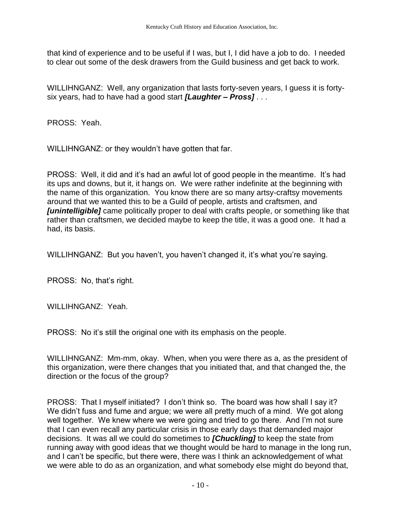that kind of experience and to be useful if I was, but I, I did have a job to do. I needed to clear out some of the desk drawers from the Guild business and get back to work.

WILLIHNGANZ: Well, any organization that lasts forty-seven years, I guess it is fortysix years, had to have had a good start *[Laughter – Pross]* . . .

PROSS: Yeah.

WILLIHNGANZ: or they wouldn't have gotten that far.

PROSS: Well, it did and it's had an awful lot of good people in the meantime. It's had its ups and downs, but it, it hangs on. We were rather indefinite at the beginning with the name of this organization. You know there are so many artsy-craftsy movements around that we wanted this to be a Guild of people, artists and craftsmen, and *[unintelligible]* came politically proper to deal with crafts people, or something like that rather than craftsmen, we decided maybe to keep the title, it was a good one. It had a had, its basis.

WILLIHNGANZ: But you haven't, you haven't changed it, it's what you're saying.

PROSS: No, that's right.

WILLIHNGANZ: Yeah.

PROSS: No it's still the original one with its emphasis on the people.

WILLIHNGANZ: Mm-mm, okay. When, when you were there as a, as the president of this organization, were there changes that you initiated that, and that changed the, the direction or the focus of the group?

PROSS: That I myself initiated? I don't think so. The board was how shall I say it? We didn't fuss and fume and argue; we were all pretty much of a mind. We got along well together. We knew where we were going and tried to go there. And I'm not sure that I can even recall any particular crisis in those early days that demanded major decisions. It was all we could do sometimes to *[Chuckling]* to keep the state from running away with good ideas that we thought would be hard to manage in the long run, and I can't be specific, but there were, there was I think an acknowledgement of what we were able to do as an organization, and what somebody else might do beyond that,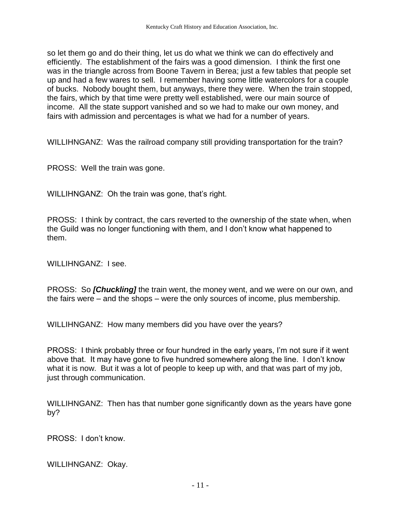so let them go and do their thing, let us do what we think we can do effectively and efficiently. The establishment of the fairs was a good dimension. I think the first one was in the triangle across from Boone Tavern in Berea; just a few tables that people set up and had a few wares to sell. I remember having some little watercolors for a couple of bucks. Nobody bought them, but anyways, there they were. When the train stopped, the fairs, which by that time were pretty well established, were our main source of income. All the state support vanished and so we had to make our own money, and fairs with admission and percentages is what we had for a number of years.

WILLIHNGANZ: Was the railroad company still providing transportation for the train?

PROSS: Well the train was gone.

WILLIHNGANZ: Oh the train was gone, that's right.

PROSS: I think by contract, the cars reverted to the ownership of the state when, when the Guild was no longer functioning with them, and I don't know what happened to them.

WILLIHNGANZ: I see.

PROSS: So *[Chuckling]* the train went, the money went, and we were on our own, and the fairs were – and the shops – were the only sources of income, plus membership.

WILLIHNGANZ: How many members did you have over the years?

PROSS: I think probably three or four hundred in the early years, I'm not sure if it went above that. It may have gone to five hundred somewhere along the line. I don't know what it is now. But it was a lot of people to keep up with, and that was part of my job, just through communication.

WILLIHNGANZ: Then has that number gone significantly down as the years have gone by?

PROSS: I don't know.

WILLIHNGANZ: Okay.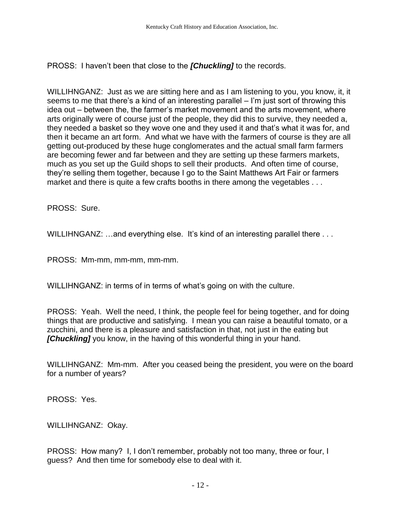PROSS: I haven't been that close to the *[Chuckling]* to the records.

WILLIHNGANZ: Just as we are sitting here and as I am listening to you, you know, it, it seems to me that there's a kind of an interesting parallel – I'm just sort of throwing this idea out – between the, the farmer's market movement and the arts movement, where arts originally were of course just of the people, they did this to survive, they needed a, they needed a basket so they wove one and they used it and that's what it was for, and then it became an art form. And what we have with the farmers of course is they are all getting out-produced by these huge conglomerates and the actual small farm farmers are becoming fewer and far between and they are setting up these farmers markets, much as you set up the Guild shops to sell their products. And often time of course, they're selling them together, because I go to the Saint Matthews Art Fair or farmers market and there is quite a few crafts booths in there among the vegetables . . .

PROSS: Sure.

WILLIHNGANZ: …and everything else. It's kind of an interesting parallel there ...

PROSS: Mm-mm, mm-mm, mm-mm.

WILLIHNGANZ: in terms of in terms of what's going on with the culture.

PROSS: Yeah. Well the need, I think, the people feel for being together, and for doing things that are productive and satisfying. I mean you can raise a beautiful tomato, or a zucchini, and there is a pleasure and satisfaction in that, not just in the eating but **[Chuckling]** you know, in the having of this wonderful thing in your hand.

WILLIHNGANZ: Mm-mm. After you ceased being the president, you were on the board for a number of years?

PROSS: Yes.

WILLIHNGANZ: Okay.

PROSS: How many? I, I don't remember, probably not too many, three or four, I guess? And then time for somebody else to deal with it.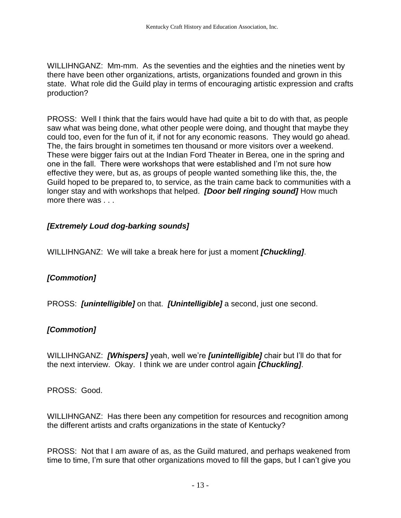WILLIHNGANZ: Mm-mm. As the seventies and the eighties and the nineties went by there have been other organizations, artists, organizations founded and grown in this state. What role did the Guild play in terms of encouraging artistic expression and crafts production?

PROSS: Well I think that the fairs would have had quite a bit to do with that, as people saw what was being done, what other people were doing, and thought that maybe they could too, even for the fun of it, if not for any economic reasons. They would go ahead. The, the fairs brought in sometimes ten thousand or more visitors over a weekend. These were bigger fairs out at the Indian Ford Theater in Berea, one in the spring and one in the fall. There were workshops that were established and I'm not sure how effective they were, but as, as groups of people wanted something like this, the, the Guild hoped to be prepared to, to service, as the train came back to communities with a longer stay and with workshops that helped. *[Door bell ringing sound]* How much more there was . . .

## *[Extremely Loud dog-barking sounds]*

WILLIHNGANZ: We will take a break here for just a moment *[Chuckling]*.

## *[Commotion]*

PROSS: *[unintelligible]* on that. *[Unintelligible]* a second, just one second.

## *[Commotion]*

WILLIHNGANZ: *[Whispers]* yeah, well we're *[unintelligible]* chair but I'll do that for the next interview. Okay. I think we are under control again *[Chuckling]*.

PROSS: Good.

WILLIHNGANZ: Has there been any competition for resources and recognition among the different artists and crafts organizations in the state of Kentucky?

PROSS: Not that I am aware of as, as the Guild matured, and perhaps weakened from time to time, I'm sure that other organizations moved to fill the gaps, but I can't give you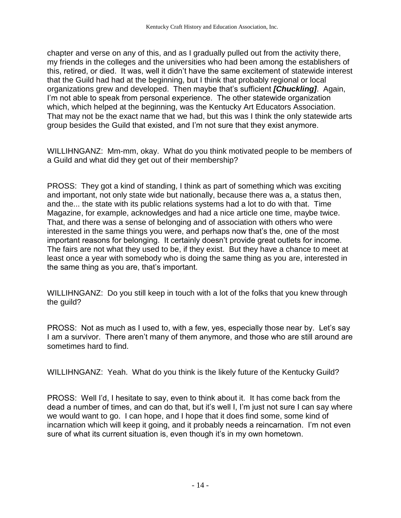chapter and verse on any of this, and as I gradually pulled out from the activity there, my friends in the colleges and the universities who had been among the establishers of this, retired, or died. It was, well it didn't have the same excitement of statewide interest that the Guild had had at the beginning, but I think that probably regional or local organizations grew and developed. Then maybe that's sufficient *[Chuckling]*. Again, I'm not able to speak from personal experience. The other statewide organization which, which helped at the beginning, was the Kentucky Art Educators Association. That may not be the exact name that we had, but this was I think the only statewide arts group besides the Guild that existed, and I'm not sure that they exist anymore.

WILLIHNGANZ: Mm-mm, okay. What do you think motivated people to be members of a Guild and what did they get out of their membership?

PROSS: They got a kind of standing, I think as part of something which was exciting and important, not only state wide but nationally, because there was a, a status then, and the... the state with its public relations systems had a lot to do with that. Time Magazine, for example, acknowledges and had a nice article one time, maybe twice. That, and there was a sense of belonging and of association with others who were interested in the same things you were, and perhaps now that's the, one of the most important reasons for belonging. It certainly doesn't provide great outlets for income. The fairs are not what they used to be, if they exist. But they have a chance to meet at least once a year with somebody who is doing the same thing as you are, interested in the same thing as you are, that's important.

WILLIHNGANZ: Do you still keep in touch with a lot of the folks that you knew through the guild?

PROSS: Not as much as I used to, with a few, yes, especially those near by. Let's say I am a survivor. There aren't many of them anymore, and those who are still around are sometimes hard to find.

WILLIHNGANZ: Yeah. What do you think is the likely future of the Kentucky Guild?

PROSS: Well I'd, I hesitate to say, even to think about it. It has come back from the dead a number of times, and can do that, but it's well I, I'm just not sure I can say where we would want to go. I can hope, and I hope that it does find some, some kind of incarnation which will keep it going, and it probably needs a reincarnation. I'm not even sure of what its current situation is, even though it's in my own hometown.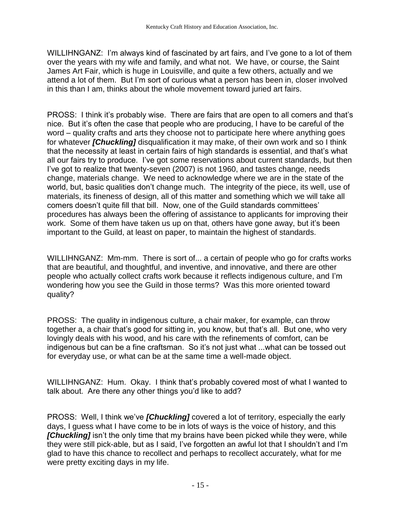WILLIHNGANZ: I'm always kind of fascinated by art fairs, and I've gone to a lot of them over the years with my wife and family, and what not. We have, or course, the Saint James Art Fair, which is huge in Louisville, and quite a few others, actually and we attend a lot of them. But I'm sort of curious what a person has been in, closer involved in this than I am, thinks about the whole movement toward juried art fairs.

PROSS: I think it's probably wise. There are fairs that are open to all comers and that's nice. But it's often the case that people who are producing, I have to be careful of the word – quality crafts and arts they choose not to participate here where anything goes for whatever *[Chuckling]* disqualification it may make, of their own work and so I think that the necessity at least in certain fairs of high standards is essential, and that's what all our fairs try to produce. I've got some reservations about current standards, but then I've got to realize that twenty-seven (2007) is not 1960, and tastes change, needs change, materials change. We need to acknowledge where we are in the state of the world, but, basic qualities don't change much. The integrity of the piece, its well, use of materials, its fineness of design, all of this matter and something which we will take all comers doesn't quite fill that bill. Now, one of the Guild standards committees' procedures has always been the offering of assistance to applicants for improving their work. Some of them have taken us up on that, others have gone away, but it's been important to the Guild, at least on paper, to maintain the highest of standards.

WILLIHNGANZ: Mm-mm. There is sort of... a certain of people who go for crafts works that are beautiful, and thoughtful, and inventive, and innovative, and there are other people who actually collect crafts work because it reflects indigenous culture, and I'm wondering how you see the Guild in those terms? Was this more oriented toward quality?

PROSS: The quality in indigenous culture, a chair maker, for example, can throw together a, a chair that's good for sitting in, you know, but that's all. But one, who very lovingly deals with his wood, and his care with the refinements of comfort, can be indigenous but can be a fine craftsman. So it's not just what ...what can be tossed out for everyday use, or what can be at the same time a well-made object.

WILLIHNGANZ: Hum. Okay. I think that's probably covered most of what I wanted to talk about. Are there any other things you'd like to add?

PROSS: Well, I think we've *[Chuckling]* covered a lot of territory, especially the early days, I guess what I have come to be in lots of ways is the voice of history, and this **[Chuckling]** isn't the only time that my brains have been picked while they were, while they were still pick-able, but as I said, I've forgotten an awful lot that I shouldn't and I'm glad to have this chance to recollect and perhaps to recollect accurately, what for me were pretty exciting days in my life.